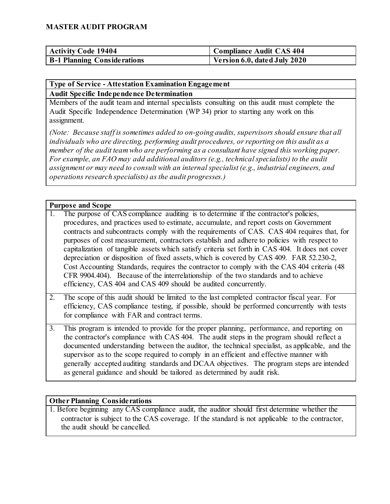| Activity Code 19404                | Compliance Audit CAS 404             |
|------------------------------------|--------------------------------------|
| <b>B-1 Planning Considerations</b> | $\vert$ Version 6.0, dated July 2020 |

# **Type of Service - Attestation Examination Engagement**

#### **Audit Specific Independence Determination**

Members of the audit team and internal specialists consulting on this audit must complete the Audit Specific Independence Determination (WP 34) prior to starting any work on this assignment.

*(Note: Because staff is sometimes added to on-going audits, supervisors should ensure that all individuals who are directing, performing audit procedures, or reporting on this audit as a member of the audit team who are performing as a consultant have signed this working paper. For example, an FAO may add additional auditors (e.g., technical specialists) to the audit assignment or may need to consult with an internal specialist (e.g., industrial engineers, and operations research specialists) as the audit progresses.)*

#### **Purpose and Scope**

- 1. The purpose of CAS compliance auditing is to determine if the contractor's policies, procedures, and practices used to estimate, accumulate, and report costs on Government contracts and subcontracts comply with the requirements of CAS. CAS 404 requires that, for purposes of cost measurement, contractors establish and adhere to policies with respect to capitalization of tangible assets which satisfy criteria set forth in CAS 404. It does not cover depreciation or disposition of fixed assets, which is covered by CAS 409. FAR 52.230-2, Cost Accounting Standards, requires the contractor to comply with the CAS 404 criteria (48 CFR 9904.404). Because of the interrelationship of the two standards and to achieve efficiency, CAS 404 and CAS 409 should be audited concurrently.
- 2. The scope of this audit should be limited to the last completed contractor fiscal year. For efficiency, CAS compliance testing, if possible, should be performed concurrently with tests for compliance with FAR and contract terms.
- 3. This program is intended to provide for the proper planning, performance, and reporting on the contractor's compliance with CAS 404. The audit steps in the program should reflect a documented understanding between the auditor, the technical specialist, as applicable, and the supervisor as to the scope required to comply in an efficient and effective manner with generally accepted auditing standards and DCAA objectives. The program steps are intended as general guidance and should be tailored as determined by audit risk.

#### **Other Planning Considerations**

1. Before beginning any CAS compliance audit, the auditor should first determine whether the contractor is subject to the CAS coverage. If the standard is not applicable to the contractor, the audit should be cancelled.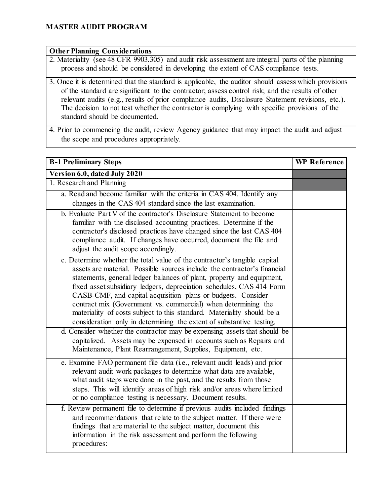#### **Other Planning Considerations**

- 2. Materiality (see 48 CFR 9903.305) and audit risk assessment are integral parts of the planning process and should be considered in developing the extent of CAS compliance tests.
- 3. Once it is determined that the standard is applicable, the auditor should assess which provisions of the standard are significant to the contractor; assess control risk; and the results of other relevant audits (e.g., results of prior compliance audits, Disclosure Statement revisions, etc.). The decision to not test whether the contractor is complying with specific provisions of the standard should be documented.

4. Prior to commencing the audit, review Agency guidance that may impact the audit and adjust the scope and procedures appropriately.

| <b>B-1 Preliminary Steps</b>                                                                                                                                                                                                                                                                                                                                                                                                                                                                                                                                                              | <b>WP</b> Reference |
|-------------------------------------------------------------------------------------------------------------------------------------------------------------------------------------------------------------------------------------------------------------------------------------------------------------------------------------------------------------------------------------------------------------------------------------------------------------------------------------------------------------------------------------------------------------------------------------------|---------------------|
| Version 6.0, dated July 2020                                                                                                                                                                                                                                                                                                                                                                                                                                                                                                                                                              |                     |
| 1. Research and Planning                                                                                                                                                                                                                                                                                                                                                                                                                                                                                                                                                                  |                     |
| a. Read and become familiar with the criteria in CAS 404. Identify any<br>changes in the CAS 404 standard since the last examination.                                                                                                                                                                                                                                                                                                                                                                                                                                                     |                     |
| b. Evaluate Part V of the contractor's Disclosure Statement to become<br>familiar with the disclosed accounting practices. Determine if the<br>contractor's disclosed practices have changed since the last CAS 404<br>compliance audit. If changes have occurred, document the file and<br>adjust the audit scope accordingly.                                                                                                                                                                                                                                                           |                     |
| c. Determine whether the total value of the contractor's tangible capital<br>assets are material. Possible sources include the contractor's financial<br>statements, general ledger balances of plant, property and equipment,<br>fixed asset subsidiary ledgers, depreciation schedules, CAS 414 Form<br>CASB-CMF, and capital acquisition plans or budgets. Consider<br>contract mix (Government vs. commercial) when determining the<br>materiality of costs subject to this standard. Materiality should be a<br>consideration only in determining the extent of substantive testing. |                     |
| d. Consider whether the contractor may be expensing assets that should be<br>capitalized. Assets may be expensed in accounts such as Repairs and<br>Maintenance, Plant Rearrangement, Supplies, Equipment, etc.                                                                                                                                                                                                                                                                                                                                                                           |                     |
| e. Examine FAO permanent file data (i.e., relevant audit leads) and prior<br>relevant audit work packages to determine what data are available,<br>what audit steps were done in the past, and the results from those<br>steps. This will identify areas of high risk and/or areas where limited<br>or no compliance testing is necessary. Document results.                                                                                                                                                                                                                              |                     |
| f. Review permanent file to determine if previous audits included findings<br>and recommendations that relate to the subject matter. If there were<br>findings that are material to the subject matter, document this<br>information in the risk assessment and perform the following<br>procedures:                                                                                                                                                                                                                                                                                      |                     |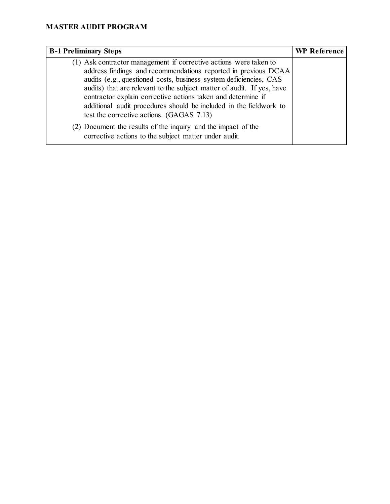| <b>B-1 Preliminary Steps</b>                                                                                                                                                                                                                                                                                                                                                                                                                                                                                                           | WP Reference |
|----------------------------------------------------------------------------------------------------------------------------------------------------------------------------------------------------------------------------------------------------------------------------------------------------------------------------------------------------------------------------------------------------------------------------------------------------------------------------------------------------------------------------------------|--------------|
| (1) Ask contractor management if corrective actions were taken to<br>address findings and recommendations reported in previous DCAA<br>audits (e.g., questioned costs, business system deficiencies, CAS<br>audits) that are relevant to the subject matter of audit. If yes, have<br>contractor explain corrective actions taken and determine if<br>additional audit procedures should be included in the fieldwork to<br>test the corrective actions. (GAGAS 7.13)<br>(2) Document the results of the inquiry and the impact of the |              |
| corrective actions to the subject matter under audit.                                                                                                                                                                                                                                                                                                                                                                                                                                                                                  |              |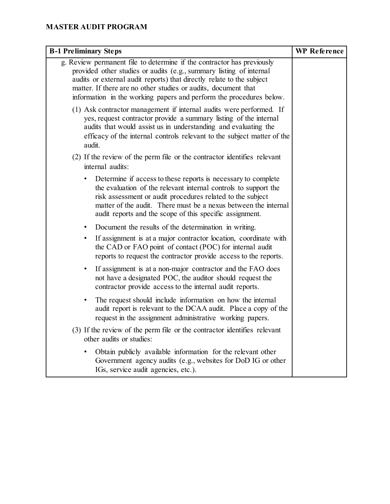| <b>B-1 Preliminary Steps</b>                                                                                                                                                                                                                                                                                                                                    | <b>WP</b> Reference |
|-----------------------------------------------------------------------------------------------------------------------------------------------------------------------------------------------------------------------------------------------------------------------------------------------------------------------------------------------------------------|---------------------|
| g. Review permanent file to determine if the contractor has previously<br>provided other studies or audits (e.g., summary listing of internal<br>audits or external audit reports) that directly relate to the subject<br>matter. If there are no other studies or audits, document that<br>information in the working papers and perform the procedures below. |                     |
| (1) Ask contractor management if internal audits were performed. If<br>yes, request contractor provide a summary listing of the internal<br>audits that would assist us in understanding and evaluating the<br>efficacy of the internal controls relevant to the subject matter of the<br>audit.                                                                |                     |
| (2) If the review of the perm file or the contractor identifies relevant<br>internal audits:                                                                                                                                                                                                                                                                    |                     |
| Determine if access to these reports is necessary to complete<br>the evaluation of the relevant internal controls to support the<br>risk assessment or audit procedures related to the subject<br>matter of the audit. There must be a nexus between the internal<br>audit reports and the scope of this specific assignment.                                   |                     |
| Document the results of the determination in writing.<br>$\bullet$                                                                                                                                                                                                                                                                                              |                     |
| If assignment is at a major contractor location, coordinate with<br>٠<br>the CAD or FAO point of contact (POC) for internal audit<br>reports to request the contractor provide access to the reports.                                                                                                                                                           |                     |
| If assignment is at a non-major contractor and the FAO does<br>$\bullet$<br>not have a designated POC, the auditor should request the<br>contractor provide access to the internal audit reports.                                                                                                                                                               |                     |
| The request should include information on how the internal<br>$\bullet$<br>audit report is relevant to the DCAA audit. Place a copy of the<br>request in the assignment administrative working papers.                                                                                                                                                          |                     |
| (3) If the review of the perm file or the contractor identifies relevant<br>other audits or studies:                                                                                                                                                                                                                                                            |                     |
| Obtain publicly available information for the relevant other<br>Government agency audits (e.g., websites for DoD IG or other<br>IGs, service audit agencies, etc.).                                                                                                                                                                                             |                     |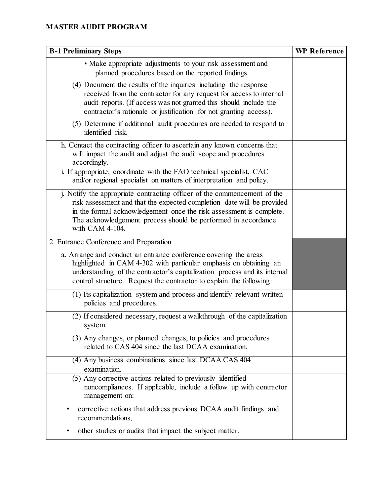| <b>B-1 Preliminary Steps</b>                                                                                                                                                                                                                                                                                  | <b>WP</b> Reference |
|---------------------------------------------------------------------------------------------------------------------------------------------------------------------------------------------------------------------------------------------------------------------------------------------------------------|---------------------|
| • Make appropriate adjustments to your risk assessment and<br>planned procedures based on the reported findings.                                                                                                                                                                                              |                     |
| (4) Document the results of the inquiries including the response<br>received from the contractor for any request for access to internal<br>audit reports. (If access was not granted this should include the<br>contractor's rationale or justification for not granting access).                             |                     |
| (5) Determine if additional audit procedures are needed to respond to<br>identified risk.                                                                                                                                                                                                                     |                     |
| h. Contact the contracting officer to ascertain any known concerns that<br>will impact the audit and adjust the audit scope and procedures<br>accordingly.                                                                                                                                                    |                     |
| i. If appropriate, coordinate with the FAO technical specialist, CAC<br>and/or regional specialist on matters of interpretation and policy.                                                                                                                                                                   |                     |
| j. Notify the appropriate contracting officer of the commencement of the<br>risk assessment and that the expected completion date will be provided<br>in the formal acknowledgement once the risk assessment is complete.<br>The acknowledgement process should be performed in accordance<br>with CAM 4-104. |                     |
| 2. Entrance Conference and Preparation                                                                                                                                                                                                                                                                        |                     |
| a. Arrange and conduct an entrance conference covering the areas<br>highlighted in CAM 4-302 with particular emphasis on obtaining an<br>understanding of the contractor's capitalization process and its internal<br>control structure. Request the contractor to explain the following:                     |                     |
| (1) Its capitalization system and process and identify relevant written<br>policies and procedures.                                                                                                                                                                                                           |                     |
| (2) If considered necessary, request a walkthrough of the capitalization<br>system.                                                                                                                                                                                                                           |                     |
| (3) Any changes, or planned changes, to policies and procedures<br>related to CAS 404 since the last DCAA examination.                                                                                                                                                                                        |                     |
| (4) Any business combinations since last DCAA CAS 404<br>examination.                                                                                                                                                                                                                                         |                     |
| (5) Any corrective actions related to previously identified<br>noncompliances. If applicable, include a follow up with contractor<br>management on:                                                                                                                                                           |                     |
| corrective actions that address previous DCAA audit findings and<br>recommendations,                                                                                                                                                                                                                          |                     |
| other studies or audits that impact the subject matter.                                                                                                                                                                                                                                                       |                     |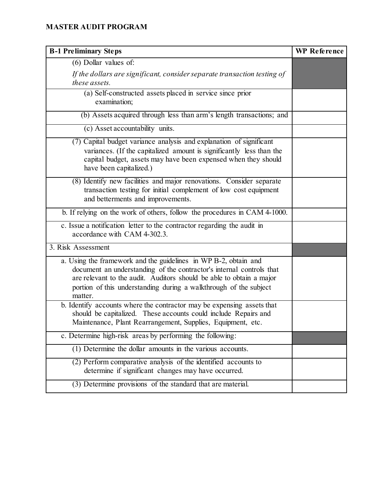| <b>B-1 Preliminary Steps</b>                                                                                                                                                                                                                                                                    | <b>WP</b> Reference |
|-------------------------------------------------------------------------------------------------------------------------------------------------------------------------------------------------------------------------------------------------------------------------------------------------|---------------------|
| (6) Dollar values of:                                                                                                                                                                                                                                                                           |                     |
| If the dollars are significant, consider separate transaction testing of<br>these assets.                                                                                                                                                                                                       |                     |
| (a) Self-constructed assets placed in service since prior<br>examination;                                                                                                                                                                                                                       |                     |
| (b) Assets acquired through less than arm's length transactions; and                                                                                                                                                                                                                            |                     |
| (c) Asset accountability units.                                                                                                                                                                                                                                                                 |                     |
| (7) Capital budget variance analysis and explanation of significant<br>variances. (If the capitalized amount is significantly less than the<br>capital budget, assets may have been expensed when they should<br>have been capitalized.)                                                        |                     |
| (8) Identify new facilities and major renovations. Consider separate<br>transaction testing for initial complement of low cost equipment<br>and betterments and improvements.                                                                                                                   |                     |
| b. If relying on the work of others, follow the procedures in CAM 4-1000.                                                                                                                                                                                                                       |                     |
| c. Issue a notification letter to the contractor regarding the audit in<br>accordance with CAM 4-302.3.                                                                                                                                                                                         |                     |
| 3. Risk Assessment                                                                                                                                                                                                                                                                              |                     |
| a. Using the framework and the guidelines in WP B-2, obtain and<br>document an understanding of the contractor's internal controls that<br>are relevant to the audit. Auditors should be able to obtain a major<br>portion of this understanding during a walkthrough of the subject<br>matter. |                     |
| b. Identify accounts where the contractor may be expensing assets that<br>should be capitalized. These accounts could include Repairs and<br>Maintenance, Plant Rearrangement, Supplies, Equipment, etc.                                                                                        |                     |
| c. Determine high-risk areas by performing the following:                                                                                                                                                                                                                                       |                     |
| (1) Determine the dollar amounts in the various accounts.                                                                                                                                                                                                                                       |                     |
| (2) Perform comparative analysis of the identified accounts to<br>determine if significant changes may have occurred.                                                                                                                                                                           |                     |
| (3) Determine provisions of the standard that are material.                                                                                                                                                                                                                                     |                     |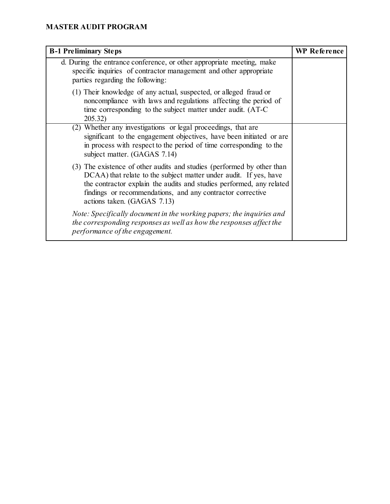| <b>B-1 Preliminary Steps</b>                                                                                                                                                                                                                                                                                     | <b>WP</b> Reference |
|------------------------------------------------------------------------------------------------------------------------------------------------------------------------------------------------------------------------------------------------------------------------------------------------------------------|---------------------|
| d. During the entrance conference, or other appropriate meeting, make<br>specific inquiries of contractor management and other appropriate<br>parties regarding the following:                                                                                                                                   |                     |
| (1) Their knowledge of any actual, suspected, or alleged fraud or<br>noncompliance with laws and regulations affecting the period of<br>time corresponding to the subject matter under audit. (AT-C)<br>205.32)                                                                                                  |                     |
| (2) Whether any investigations or legal proceedings, that are<br>significant to the engagement objectives, have been initiated or are<br>in process with respect to the period of time corresponding to the<br>subject matter. (GAGAS 7.14)                                                                      |                     |
| (3) The existence of other audits and studies (performed by other than<br>DCAA) that relate to the subject matter under audit. If yes, have<br>the contractor explain the audits and studies performed, any related<br>findings or recommendations, and any contractor corrective<br>actions taken. (GAGAS 7.13) |                     |
| Note: Specifically document in the working papers; the inquiries and<br>the corresponding responses as well as how the responses affect the<br>performance of the engagement.                                                                                                                                    |                     |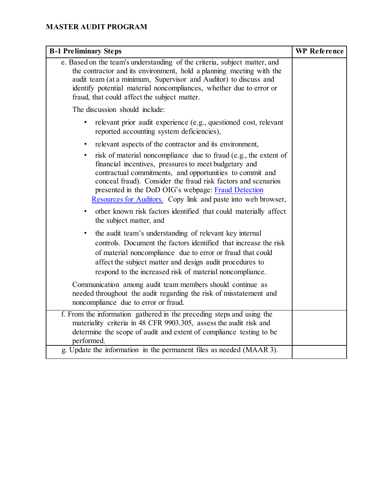| <b>B-1 Preliminary Steps</b>                                                                                                                                                                                                                                                                                                                                                                | WP Reference |
|---------------------------------------------------------------------------------------------------------------------------------------------------------------------------------------------------------------------------------------------------------------------------------------------------------------------------------------------------------------------------------------------|--------------|
| e. Based on the team's understanding of the criteria, subject matter, and<br>the contractor and its environment, hold a planning meeting with the<br>audit team (at a minimum, Supervisor and Auditor) to discuss and<br>identify potential material noncompliances, whether due to error or<br>fraud, that could affect the subject matter.                                                |              |
| The discussion should include:                                                                                                                                                                                                                                                                                                                                                              |              |
| relevant prior audit experience (e.g., questioned cost, relevant<br>$\bullet$<br>reported accounting system deficiencies),                                                                                                                                                                                                                                                                  |              |
| relevant aspects of the contractor and its environment,<br>$\bullet$                                                                                                                                                                                                                                                                                                                        |              |
| risk of material noncompliance due to fraud (e.g., the extent of<br>$\bullet$<br>financial incentives, pressures to meet budgetary and<br>contractual commitments, and opportunities to commit and<br>conceal fraud). Consider the fraud risk factors and scenarios<br>presented in the DoD OIG's webpage: Fraud Detection<br>Resources for Auditors. Copy link and paste into web browser, |              |
| other known risk factors identified that could materially affect<br>the subject matter, and                                                                                                                                                                                                                                                                                                 |              |
| the audit team's understanding of relevant key internal<br>$\bullet$<br>controls. Document the factors identified that increase the risk<br>of material noncompliance due to error or fraud that could<br>affect the subject matter and design audit procedures to<br>respond to the increased risk of material noncompliance.                                                              |              |
| Communication among audit team members should continue as<br>needed throughout the audit regarding the risk of misstatement and<br>noncompliance due to error or fraud.                                                                                                                                                                                                                     |              |
| f. From the information gathered in the preceding steps and using the<br>materiality criteria in 48 CFR 9903.305, assess the audit risk and<br>determine the scope of audit and extent of compliance testing to be<br>performed.                                                                                                                                                            |              |
| g. Update the information in the permanent files as needed (MAAR 3).                                                                                                                                                                                                                                                                                                                        |              |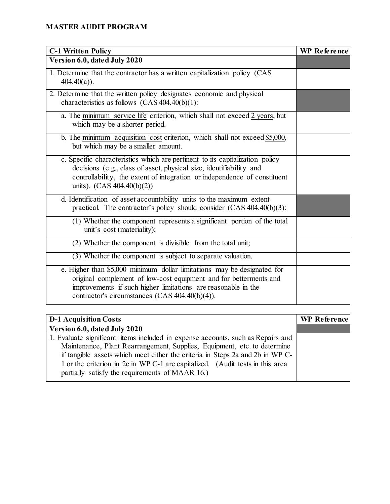| <b>C-1 Written Policy</b>                                                                                                                                                                                                                                        | <b>WP</b> Reference |
|------------------------------------------------------------------------------------------------------------------------------------------------------------------------------------------------------------------------------------------------------------------|---------------------|
| Version 6.0, dated July 2020                                                                                                                                                                                                                                     |                     |
| 1. Determine that the contractor has a written capitalization policy (CAS<br>$404.40(a)$ ).                                                                                                                                                                      |                     |
| 2. Determine that the written policy designates economic and physical<br>characteristics as follows $(CAS 404.40(b)(1))$ :                                                                                                                                       |                     |
| a. The minimum service life criterion, which shall not exceed 2 years, but<br>which may be a shorter period.                                                                                                                                                     |                     |
| b. The minimum acquisition cost criterion, which shall not exceed $$5,000$ ,<br>but which may be a smaller amount.                                                                                                                                               |                     |
| c. Specific characteristics which are pertinent to its capitalization policy<br>decisions (e.g., class of asset, physical size, identifiability and<br>controllability, the extent of integration or independence of constituent<br>units). $(CAS 404.40(b)(2))$ |                     |
| d. Identification of asset accountability units to the maximum extent<br>practical. The contractor's policy should consider (CAS 404.40(b)(3):                                                                                                                   |                     |
| (1) Whether the component represents a significant portion of the total<br>unit's cost (materiality);                                                                                                                                                            |                     |
| $(2)$ Whether the component is divisible from the total unit;                                                                                                                                                                                                    |                     |
| (3) Whether the component is subject to separate valuation.                                                                                                                                                                                                      |                     |
| e. Higher than \$5,000 minimum dollar limitations may be designated for<br>original complement of low-cost equipment and for betterments and<br>improvements if such higher limitations are reasonable in the<br>contractor's circumstances (CAS 404.40(b)(4)).  |                     |

| <b>D-1 Acquisition Costs</b>                                                    | WP Reference |
|---------------------------------------------------------------------------------|--------------|
| Version 6.0, dated July 2020                                                    |              |
| 1. Evaluate significant items included in expense accounts, such as Repairs and |              |
| Maintenance, Plant Rearrangement, Supplies, Equipment, etc. to determine        |              |
| if tangible assets which meet either the criteria in Steps 2a and 2b in WP C-   |              |
| 1 or the criterion in 2e in WP C-1 are capitalized. (Audit tests in this area   |              |
| partially satisfy the requirements of MAAR 16.)                                 |              |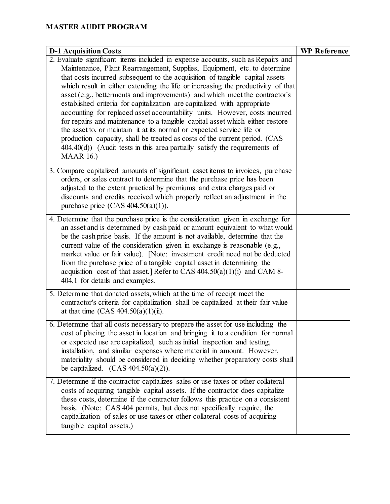| <b>D-1 Acquisition Costs</b>                                                                                                                                                                                                                                                                                                                                                                                                                                                                                                                                                                                                                                                                                                                                                                                                                                                                                          | <b>WP</b> Reference |
|-----------------------------------------------------------------------------------------------------------------------------------------------------------------------------------------------------------------------------------------------------------------------------------------------------------------------------------------------------------------------------------------------------------------------------------------------------------------------------------------------------------------------------------------------------------------------------------------------------------------------------------------------------------------------------------------------------------------------------------------------------------------------------------------------------------------------------------------------------------------------------------------------------------------------|---------------------|
| 2. Evaluate significant items included in expense accounts, such as Repairs and<br>Maintenance, Plant Rearrangement, Supplies, Equipment, etc. to determine<br>that costs incurred subsequent to the acquisition of tangible capital assets<br>which result in either extending the life or increasing the productivity of that<br>asset (e.g., betterments and improvements) and which meet the contractor's<br>established criteria for capitalization are capitalized with appropriate<br>accounting for replaced asset accountability units. However, costs incurred<br>for repairs and maintenance to a tangible capital asset which either restore<br>the asset to, or maintain it at its normal or expected service life or<br>production capacity, shall be treated as costs of the current period. (CAS<br>$404.40(d)$ ) (Audit tests in this area partially satisfy the requirements of<br><b>MAAR 16.)</b> |                     |
| 3. Compare capitalized amounts of significant asset items to invoices, purchase<br>orders, or sales contract to determine that the purchase price has been<br>adjusted to the extent practical by premiums and extra charges paid or<br>discounts and credits received which properly reflect an adjustment in the<br>purchase price $(CAS 404.50(a)(1))$ .                                                                                                                                                                                                                                                                                                                                                                                                                                                                                                                                                           |                     |
| 4. Determine that the purchase price is the consideration given in exchange for<br>an asset and is determined by cash paid or amount equivalent to what would<br>be the cash price basis. If the amount is not available, determine that the<br>current value of the consideration given in exchange is reasonable (e.g.,<br>market value or fair value). [Note: investment credit need not be deducted<br>from the purchase price of a tangible capital asset in determining the<br>acquisition cost of that asset.] Refer to CAS $404.50(a)(1)(i)$ and CAM 8-<br>404.1 for details and examples.                                                                                                                                                                                                                                                                                                                    |                     |
| 5. Determine that donated assets, which at the time of receipt meet the<br>contractor's criteria for capitalization shall be capitalized at their fair value<br>at that time $(CAS 404.50(a)(1)(ii)$ .                                                                                                                                                                                                                                                                                                                                                                                                                                                                                                                                                                                                                                                                                                                |                     |
| 6. Determine that all costs necessary to prepare the asset for use including the<br>cost of placing the asset in location and bringing it to a condition for normal<br>or expected use are capitalized, such as initial inspection and testing,<br>installation, and similar expenses where material in amount. However,<br>materiality should be considered in deciding whether preparatory costs shall<br>be capitalized. $(CAS 404.50(a)(2))$ .                                                                                                                                                                                                                                                                                                                                                                                                                                                                    |                     |
| 7. Determine if the contractor capitalizes sales or use taxes or other collateral<br>costs of acquiring tangible capital assets. If the contractor does capitalize<br>these costs, determine if the contractor follows this practice on a consistent<br>basis. (Note: CAS 404 permits, but does not specifically require, the<br>capitalization of sales or use taxes or other collateral costs of acquiring<br>tangible capital assets.)                                                                                                                                                                                                                                                                                                                                                                                                                                                                             |                     |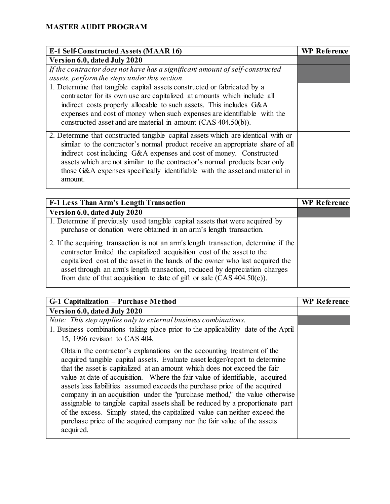| E-1 Self-Constructed Assets (MAAR 16)                                             | <b>WP</b> Reference |
|-----------------------------------------------------------------------------------|---------------------|
| Version 6.0, dated July 2020                                                      |                     |
| If the contractor does not have has a significant amount of self-constructed      |                     |
| assets, perform the steps under this section.                                     |                     |
| 1. Determine that tangible capital assets constructed or fabricated by a          |                     |
| contractor for its own use are capitalized at amounts which include all           |                     |
| indirect costs properly allocable to such assets. This includes G&A               |                     |
| expenses and cost of money when such expenses are identifiable with the           |                     |
|                                                                                   |                     |
| 2. Determine that constructed tangible capital assets which are identical with or |                     |
| similar to the contractor's normal product receive an appropriate share of all    |                     |
| indirect cost including G&A expenses and cost of money. Constructed               |                     |
| assets which are not similar to the contractor's normal products bear only        |                     |
| those G&A expenses specifically identifiable with the asset and material in       |                     |
| amount.                                                                           |                     |
| constructed asset and are material in amount (CAS 404.50(b)).                     |                     |

| <b>F-1 Less Than Arm's Length Transaction</b>                                                                                                                                                                                                                                                                                                                                                                         | <b>WP</b> Reference |
|-----------------------------------------------------------------------------------------------------------------------------------------------------------------------------------------------------------------------------------------------------------------------------------------------------------------------------------------------------------------------------------------------------------------------|---------------------|
| Version 6.0, dated July 2020                                                                                                                                                                                                                                                                                                                                                                                          |                     |
| $\overline{1}$ . Determine if previously used tangible capital assets that were acquired by<br>purchase or donation were obtained in an arm's length transaction.                                                                                                                                                                                                                                                     |                     |
| $\sqrt{2}$ . If the acquiring transaction is not an arm's length transaction, determine if the<br>contractor limited the capitalized acquisition cost of the asset to the<br>capitalized cost of the asset in the hands of the owner who last acquired the<br>asset through an arm's length transaction, reduced by depreciation charges<br>from date of that acquisition to date of gift or sale $(CAS 404.50(c))$ . |                     |

| G-1 Capitalization – Purchase Method                                                                                                                                                                                                                                                                                                                                                                                                                                                                                                                                                                                                                                                                                                    | <b>WP Reference</b> |
|-----------------------------------------------------------------------------------------------------------------------------------------------------------------------------------------------------------------------------------------------------------------------------------------------------------------------------------------------------------------------------------------------------------------------------------------------------------------------------------------------------------------------------------------------------------------------------------------------------------------------------------------------------------------------------------------------------------------------------------------|---------------------|
| Version 6.0, dated July 2020                                                                                                                                                                                                                                                                                                                                                                                                                                                                                                                                                                                                                                                                                                            |                     |
| Note: This step applies only to external business combinations.                                                                                                                                                                                                                                                                                                                                                                                                                                                                                                                                                                                                                                                                         |                     |
| 1. Business combinations taking place prior to the applicability date of the April<br>15, 1996 revision to CAS 404.                                                                                                                                                                                                                                                                                                                                                                                                                                                                                                                                                                                                                     |                     |
| Obtain the contractor's explanations on the accounting treatment of the<br>acquired tangible capital assets. Evaluate asset ledger/report to determine<br>that the asset is capitalized at an amount which does not exceed the fair<br>value at date of acquisition. Where the fair value of identifiable, acquired<br>assets less liabilities assumed exceeds the purchase price of the acquired<br>company in an acquisition under the "purchase method," the value otherwise<br>assignable to tangible capital assets shall be reduced by a proportionate part<br>of the excess. Simply stated, the capitalized value can neither exceed the<br>purchase price of the acquired company nor the fair value of the assets<br>acquired. |                     |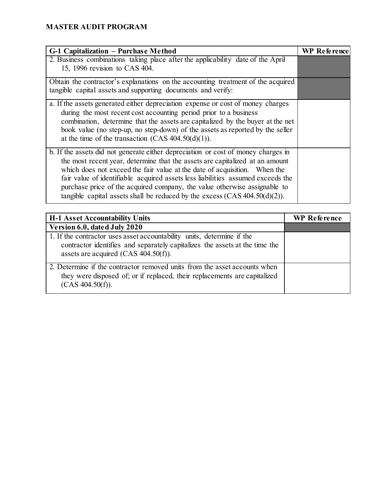| G-1 Capitalization - Purchase Method                                                                                                                            | <b>WP</b> Reference |
|-----------------------------------------------------------------------------------------------------------------------------------------------------------------|---------------------|
| 2. Business combinations taking place after the applicability date of the April                                                                                 |                     |
| 15, 1996 revision to CAS 404.                                                                                                                                   |                     |
| Obtain the contractor's explanations on the accounting treatment of the acquired                                                                                |                     |
| tangible capital assets and supporting documents and verify:                                                                                                    |                     |
| a. If the assets generated either depreciation expense or cost of money charges                                                                                 |                     |
| during the most recent cost accounting period prior to a business                                                                                               |                     |
| combination, determine that the assets are capitalized by the buyer at the net<br>book value (no step-up, no step-down) of the assets as reported by the seller |                     |
| at the time of the transaction (CAS $404.50(d)(1)$ ).                                                                                                           |                     |
| b. If the assets did not generate either depreciation or cost of money charges in                                                                               |                     |
| the most recent year, determine that the assets are capitalized at an amount                                                                                    |                     |
| which does not exceed the fair value at the date of acquisition. When the                                                                                       |                     |
| fair value of identifiable acquired assets less liabilities assumed exceeds the<br>purchase price of the acquired company, the value otherwise assignable to    |                     |
| tangible capital assets shall be reduced by the excess $(CAS 404.50(d)(2))$ .                                                                                   |                     |

| <b>H-1 Asset Accountability Units</b>                                                                                                                                                            | <b>WP</b> Reference |
|--------------------------------------------------------------------------------------------------------------------------------------------------------------------------------------------------|---------------------|
| Version 6.0, dated July 2020                                                                                                                                                                     |                     |
| 1. If the contractor uses asset accountability units, determine if the<br>contractor identifies and separately capitalizes the assets at the time the<br>assets are acquired (CAS $404.50(f)$ ). |                     |
| 2. Determine if the contractor removed units from the asset accounts when<br>they were disposed of; or if replaced, their replacements are capitalized<br>(CAS 404.50(f)).                       |                     |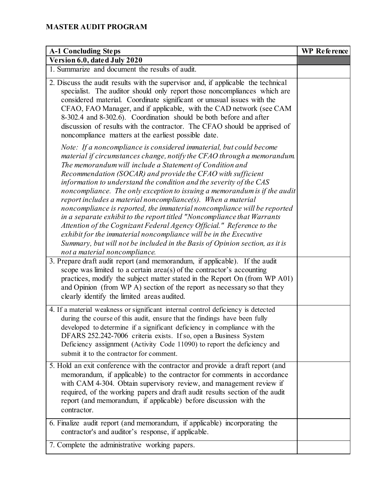| <b>A-1 Concluding Steps</b>                                                                                                                                                                                                                                                                                                                                                                                                                                                                                                                                                                                                                                                                                                                                                                                                                                                                                        | <b>WP</b> Reference |
|--------------------------------------------------------------------------------------------------------------------------------------------------------------------------------------------------------------------------------------------------------------------------------------------------------------------------------------------------------------------------------------------------------------------------------------------------------------------------------------------------------------------------------------------------------------------------------------------------------------------------------------------------------------------------------------------------------------------------------------------------------------------------------------------------------------------------------------------------------------------------------------------------------------------|---------------------|
| Version 6.0, dated July 2020                                                                                                                                                                                                                                                                                                                                                                                                                                                                                                                                                                                                                                                                                                                                                                                                                                                                                       |                     |
| 1. Summarize and document the results of audit.                                                                                                                                                                                                                                                                                                                                                                                                                                                                                                                                                                                                                                                                                                                                                                                                                                                                    |                     |
| 2. Discuss the audit results with the supervisor and, if applicable the technical<br>specialist. The auditor should only report those noncompliances which are<br>considered material. Coordinate significant or unusual issues with the<br>CFAO, FAO Manager, and if applicable, with the CAD network (see CAM<br>8-302.4 and 8-302.6). Coordination should be both before and after<br>discussion of results with the contractor. The CFAO should be apprised of<br>noncompliance matters at the earliest possible date.                                                                                                                                                                                                                                                                                                                                                                                         |                     |
| Note: If a noncompliance is considered immaterial, but could become<br>material if circumstances change, notify the CFAO through a memorandum.<br>The memorandum will include a Statement of Condition and<br>Recommendation (SOCAR) and provide the CFAO with sufficient<br>information to understand the condition and the severity of the CAS<br>noncompliance. The only exception to issuing a memorandum is if the audit<br>report includes a material noncompliance(s). When a material<br>noncompliance is reported, the immaterial noncompliance will be reported<br>in a separate exhibit to the report titled "Noncompliance that Warrants<br>Attention of the Cognizant Federal Agency Official." Reference to the<br>exhibit for the immaterial noncompliance will be in the Executive<br>Summary, but will not be included in the Basis of Opinion section, as it is<br>not a material noncompliance. |                     |
| 3. Prepare draft audit report (and memorandum, if applicable). If the audit<br>scope was limited to a certain $area(s)$ of the contractor's accounting<br>practices, modify the subject matter stated in the Report On (from WP A01)<br>and Opinion (from WP A) section of the report as necessary so that they<br>clearly identify the limited areas audited.                                                                                                                                                                                                                                                                                                                                                                                                                                                                                                                                                     |                     |
| 4. If a material weakness or significant internal control deficiency is detected<br>during the course of this audit, ensure that the findings have been fully<br>developed to determine if a significant deficiency in compliance with the<br>DFARS 252.242-7006 criteria exists. If so, open a Business System<br>Deficiency assignment (Activity Code 11090) to report the deficiency and<br>submit it to the contractor for comment.                                                                                                                                                                                                                                                                                                                                                                                                                                                                            |                     |
| 5. Hold an exit conference with the contractor and provide a draft report (and<br>memorandum, if applicable) to the contractor for comments in accordance<br>with CAM 4-304. Obtain supervisory review, and management review if<br>required, of the working papers and draft audit results section of the audit<br>report (and memorandum, if applicable) before discussion with the<br>contractor.                                                                                                                                                                                                                                                                                                                                                                                                                                                                                                               |                     |
| 6. Finalize audit report (and memorandum, if applicable) incorporating the<br>contractor's and auditor's response, if applicable.                                                                                                                                                                                                                                                                                                                                                                                                                                                                                                                                                                                                                                                                                                                                                                                  |                     |
| 7. Complete the administrative working papers.                                                                                                                                                                                                                                                                                                                                                                                                                                                                                                                                                                                                                                                                                                                                                                                                                                                                     |                     |